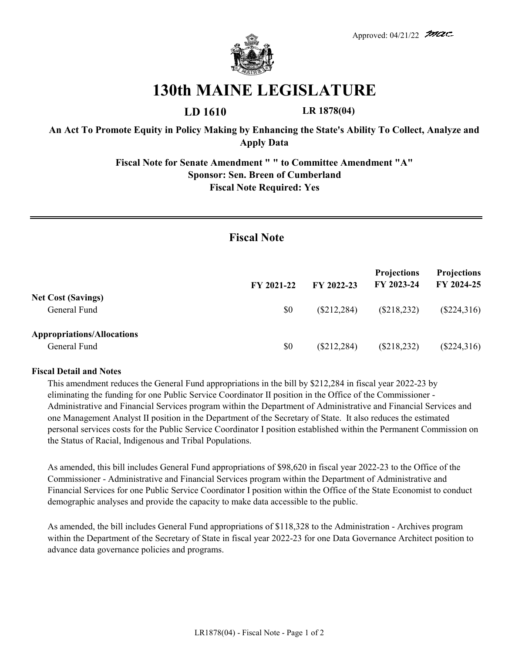

## **130th MAINE LEGISLATURE**

**LD 1610 LR 1878(04)**

**An Act To Promote Equity in Policy Making by Enhancing the State's Ability To Collect, Analyze and Apply Data**

> **Fiscal Note for Senate Amendment " " to Committee Amendment "A" Sponsor: Sen. Breen of Cumberland Fiscal Note Required: Yes**

## **Fiscal Note**

|                                                   | FY 2021-22 | FY 2022-23    | <b>Projections</b><br>FY 2023-24 | <b>Projections</b><br>FY 2024-25 |
|---------------------------------------------------|------------|---------------|----------------------------------|----------------------------------|
| <b>Net Cost (Savings)</b><br>General Fund         | \$0        | $(\$212,284)$ | $(\$218,232)$                    | $(\$224,316)$                    |
| <b>Appropriations/Allocations</b><br>General Fund | \$0        | $(\$212,284)$ | $(\$218,232)$                    | $(\$224,316)$                    |

## **Fiscal Detail and Notes**

This amendment reduces the General Fund appropriations in the bill by \$212,284 in fiscal year 2022-23 by eliminating the funding for one Public Service Coordinator II position in the Office of the Commissioner - Administrative and Financial Services program within the Department of Administrative and Financial Services and one Management Analyst II position in the Department of the Secretary of State. It also reduces the estimated personal services costs for the Public Service Coordinator I position established within the Permanent Commission on the Status of Racial, Indigenous and Tribal Populations.

As amended, this bill includes General Fund appropriations of \$98,620 in fiscal year 2022-23 to the Office of the Commissioner - Administrative and Financial Services program within the Department of Administrative and Financial Services for one Public Service Coordinator I position within the Office of the State Economist to conduct demographic analyses and provide the capacity to make data accessible to the public.

As amended, the bill includes General Fund appropriations of \$118,328 to the Administration - Archives program within the Department of the Secretary of State in fiscal year 2022-23 for one Data Governance Architect position to advance data governance policies and programs.